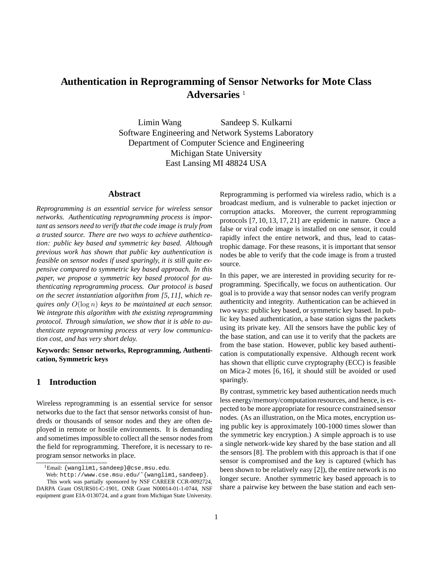# **Authentication in Reprogramming of Sensor Networks for Mote Class** Adversaries<sup>1</sup>

Limin Wang Sandeep S. Kulkarni Software Engineering and Network Systems Laboratory Department of Computer Science and Engineering Michigan State University East Lansing MI 48824 USA

#### **Abstract**

*Reprogramming is an essential service for wireless sensor networks. Authenticating reprogramming process is important as sensors need to verify that the code image is truly from a trusted source. There are two ways to achieve authentication: public key based and symmetric key based. Although previous work has shown that public key authentication is feasible on sensor nodes if used sparingly, it is still quite expensive compared to symmetric key based approach. In this paper, we propose a symmetric key based protocol for authenticating reprogramming process. Our protocol is based on the secret instantiation algorithm from [5, 11], which requires only* O(log n) *keys to be maintained at each sensor. We integrate this algorithm with the existing reprogramming protocol. Through simulation, we show that it is able to authenticate reprogramming process at very low communication cost, and has very short delay.*

**Keywords: Sensor networks, Reprogramming, Authentication, Symmetric keys**

### **1 Introduction**

Wireless reprogramming is an essential service for sensor networks due to the fact that sensor networks consist of hundreds or thousands of sensor nodes and they are often deployed in remote or hostile environments. It is demanding and sometimes impossible to collect all the sensor nodesfrom the field for reprogramming. Therefore, it is necessary to reprogram sensor networks in place.

Reprogramming is performed via wireless radio, which is a broadcast medium, and is vulnerable to packet injection or corruption attacks. Moreover, the current reprogramming protocols [7, 10, 13, 17, 21] are epidemic in nature. Once a false or viral code image is installed on one sensor, it could rapidly infect the entire network, and thus, lead to catastrophic damage. For these reasons, it is important that sensor nodes be able to verify that the code image is from a trusted source.

In this paper, we are interested in providing security for reprogramming. Specifically, we focus on authentication. Our goal is to provide a way that sensor nodes can verify program authenticity and integrity. Authentication can be achieved in two ways: public key based, or symmetric key based. In public key based authentication, a base station signs the packets using its private key. All the sensors have the public key of the base station, and can use it to verify that the packets are from the base station. However, public key based authentication is computationally expensive. Although recent work has shown that elliptic curve cryptography (ECC) is feasible on Mica-2 motes [6, 16], it should still be avoided or used sparingly.

By contrast, symmetric key based authentication needs much less energy/memory/computation resources, and hence, is expected to be more appropriate for resource constrained sensor nodes. (As an illustration, on the Mica motes, encryption using public key is approximately 100-1000 times slower than the symmetric key encryption.) A simple approach is to use a single network-wide key shared by the base station and all the sensors [8]. The problem with this approach is that if one sensor is compromised and the key is captured (which has been shown to be relatively easy [2]), the entire network is no longer secure. Another symmetric key based approach is to share a pairwise key between the base station and each sen-

<sup>&</sup>lt;sup>1</sup>Email: {wanglim1, sandeep}@cse.msu.edu.

Web: http://www.cse.msu.edu/~{wanglim1,sandeep}. This work was partially sponsored by NSF CAREER CCR-0092724, DARPA Grant OSURS01-C-1901, ONR Grant N00014-01-1-0744, NSF equipment grant EIA-0130724, and a grant from Michigan State University.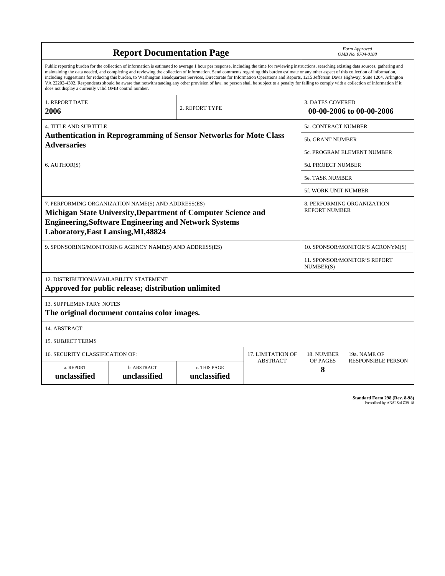| <b>Report Documentation Page</b>                                                                                                                                                                                                                                                                                                                                                                                                                                                                                                                                                                                                                                                                                                                                                                                                                                   |                             |                              |                 | Form Approved<br>OMB No. 0704-0188                  |                           |  |
|--------------------------------------------------------------------------------------------------------------------------------------------------------------------------------------------------------------------------------------------------------------------------------------------------------------------------------------------------------------------------------------------------------------------------------------------------------------------------------------------------------------------------------------------------------------------------------------------------------------------------------------------------------------------------------------------------------------------------------------------------------------------------------------------------------------------------------------------------------------------|-----------------------------|------------------------------|-----------------|-----------------------------------------------------|---------------------------|--|
| Public reporting burden for the collection of information is estimated to average 1 hour per response, including the time for reviewing instructions, searching existing data sources, gathering and<br>maintaining the data needed, and completing and reviewing the collection of information. Send comments regarding this burden estimate or any other aspect of this collection of information,<br>including suggestions for reducing this burden, to Washington Headquarters Services, Directorate for Information Operations and Reports, 1215 Jefferson Davis Highway, Suite 1204, Arlington<br>VA 22202-4302. Respondents should be aware that notwithstanding any other provision of law, no person shall be subject to a penalty for failing to comply with a collection of information if it<br>does not display a currently valid OMB control number. |                             |                              |                 |                                                     |                           |  |
| 1. REPORT DATE<br>2006                                                                                                                                                                                                                                                                                                                                                                                                                                                                                                                                                                                                                                                                                                                                                                                                                                             | 2. REPORT TYPE              |                              |                 | <b>3. DATES COVERED</b><br>00-00-2006 to 00-00-2006 |                           |  |
| <b>4. TITLE AND SUBTITLE</b>                                                                                                                                                                                                                                                                                                                                                                                                                                                                                                                                                                                                                                                                                                                                                                                                                                       |                             |                              |                 | 5a. CONTRACT NUMBER                                 |                           |  |
| <b>Authentication in Reprogramming of Sensor Networks for Mote Class</b><br><b>Adversaries</b>                                                                                                                                                                                                                                                                                                                                                                                                                                                                                                                                                                                                                                                                                                                                                                     |                             |                              |                 | <b>5b. GRANT NUMBER</b>                             |                           |  |
|                                                                                                                                                                                                                                                                                                                                                                                                                                                                                                                                                                                                                                                                                                                                                                                                                                                                    |                             |                              |                 | 5c. PROGRAM ELEMENT NUMBER                          |                           |  |
| 6. AUTHOR(S)                                                                                                                                                                                                                                                                                                                                                                                                                                                                                                                                                                                                                                                                                                                                                                                                                                                       |                             |                              |                 | <b>5d. PROJECT NUMBER</b>                           |                           |  |
|                                                                                                                                                                                                                                                                                                                                                                                                                                                                                                                                                                                                                                                                                                                                                                                                                                                                    |                             |                              |                 | <b>5e. TASK NUMBER</b>                              |                           |  |
|                                                                                                                                                                                                                                                                                                                                                                                                                                                                                                                                                                                                                                                                                                                                                                                                                                                                    |                             |                              |                 | <b>5f. WORK UNIT NUMBER</b>                         |                           |  |
| 7. PERFORMING ORGANIZATION NAME(S) AND ADDRESS(ES)<br>Michigan State University, Department of Computer Science and<br><b>Engineering, Software Engineering and Network Systems</b><br>Laboratory, East Lansing, MI, 48824                                                                                                                                                                                                                                                                                                                                                                                                                                                                                                                                                                                                                                         |                             |                              |                 | 8. PERFORMING ORGANIZATION<br><b>REPORT NUMBER</b>  |                           |  |
| 9. SPONSORING/MONITORING AGENCY NAME(S) AND ADDRESS(ES)                                                                                                                                                                                                                                                                                                                                                                                                                                                                                                                                                                                                                                                                                                                                                                                                            |                             |                              |                 | 10. SPONSOR/MONITOR'S ACRONYM(S)                    |                           |  |
|                                                                                                                                                                                                                                                                                                                                                                                                                                                                                                                                                                                                                                                                                                                                                                                                                                                                    |                             |                              |                 | 11. SPONSOR/MONITOR'S REPORT<br>NUMBER(S)           |                           |  |
| 12. DISTRIBUTION/AVAILABILITY STATEMENT<br>Approved for public release; distribution unlimited                                                                                                                                                                                                                                                                                                                                                                                                                                                                                                                                                                                                                                                                                                                                                                     |                             |                              |                 |                                                     |                           |  |
| 13. SUPPLEMENTARY NOTES<br>The original document contains color images.                                                                                                                                                                                                                                                                                                                                                                                                                                                                                                                                                                                                                                                                                                                                                                                            |                             |                              |                 |                                                     |                           |  |
| 14. ABSTRACT                                                                                                                                                                                                                                                                                                                                                                                                                                                                                                                                                                                                                                                                                                                                                                                                                                                       |                             |                              |                 |                                                     |                           |  |
| <b>15. SUBJECT TERMS</b>                                                                                                                                                                                                                                                                                                                                                                                                                                                                                                                                                                                                                                                                                                                                                                                                                                           |                             |                              |                 |                                                     |                           |  |
| <b>16. SECURITY CLASSIFICATION OF:</b><br><b>17. LIMITATION OF</b>                                                                                                                                                                                                                                                                                                                                                                                                                                                                                                                                                                                                                                                                                                                                                                                                 |                             |                              |                 | 18. NUMBER                                          | 19a. NAME OF              |  |
| a. REPORT<br>unclassified                                                                                                                                                                                                                                                                                                                                                                                                                                                                                                                                                                                                                                                                                                                                                                                                                                          | b. ABSTRACT<br>unclassified | c. THIS PAGE<br>unclassified | <b>ABSTRACT</b> | OF PAGES<br>8                                       | <b>RESPONSIBLE PERSON</b> |  |

**Standard Form 298 (Rev. 8-98)**<br>Prescribed by ANSI Std Z39-18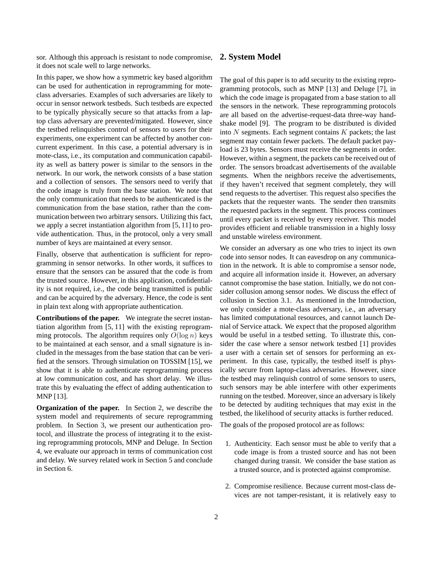sor. Although this approach is resistant to node compromise, it does not scale well to large networks.

In this paper, we show how a symmetric key based algorithm can be used for authentication in reprogramming for moteclass adversaries. Examples of such adversaries are likely to occur in sensor network testbeds. Such testbeds are expected to be typically physically secure so that attacks from a laptop class adversary are prevented/mitigated. However, since the testbed relinquishes control of sensors to users for their experiments, one experiment can be affected by another concurrent experiment. In this case, a potential adversary is in mote-class, i.e., its computation and communication capability as well as battery power is similar to the sensors in the network. In our work, the network consists of a base station and a collection of sensors. The sensors need to verify that the code image is truly from the base station. We note that the only communication that needs to be authenticated is the communication from the base station, rather than the communication between two arbitrary sensors. Utilizing this fact, we apply a secret instantiation algorithm from [5, 11] to provide authentication. Thus, in the protocol, only a very small number of keys are maintained at every sensor.

Finally, observe that authentication is sufficient for reprogramming in sensor networks. In other words, it suffices to ensure that the sensors can be assured that the code is from the trusted source. However, in this application, confidentiality is not required, i.e., the code being transmitted is public and can be acquired by the adversary. Hence, the code is sent in plain text along with appropriate authentication.

**Contributions of the paper.** We integrate the secret instantiation algorithm from [5, 11] with the existing reprogramming protocols. The algorithm requires only  $O(\log n)$  keys to be maintained at each sensor, and a small signature is included in the messages from the base station that can be verified at the sensors. Through simulation on TOSSIM [15], we show that it is able to authenticate reprogramming process at low communication cost, and has short delay. We illustrate this by evaluating the effect of adding authentication to MNP [13].

**Organization of the paper.** In Section 2, we describe the system model and requirements of secure reprogramming problem. In Section 3, we present our authentication protocol, and illustrate the process of integrating it to the existing reprogramming protocols, MNP and Deluge. In Section 4, we evaluate our approach in terms of communication cost and delay. We survey related work in Section 5 and conclude in Section 6.

#### **2. System Model**

The goal of this paper is to add security to the existing reprogramming protocols, such as MNP [13] and Deluge [7], in which the code image is propagated from a base station to all the sensors in the network. These reprogramming protocols are all based on the advertise-request-data three-way handshake model [9]. The program to be distributed is divided into  $N$  segments. Each segment contains  $K$  packets; the last segment may contain fewer packets. The default packet payload is 23 bytes. Sensors must receive the segments in order. However, within a segment, the packets can be received out of order. The sensors broadcast advertisements of the available segments. When the neighbors receive the advertisements, if they haven't received that segment completely, they will send requests to the advertiser. This request also specifies the packets that the requester wants. The sender then transmits the requested packets in the segment. This process continues until every packet is received by every receiver. This model provides efficient and reliable transmission in a highly lossy and unstable wireless environment.

We consider an adversary as one who tries to inject its own code into sensor nodes. It can eavesdrop on any communication in the network. It is able to compromise a sensor node, and acquire all information inside it. However, an adversary cannot compromise the base station. Initially, we do not consider collusion among sensor nodes. We discuss the effect of collusion in Section 3.1. As mentioned in the Introduction, we only consider a mote-class adversary, i.e., an adversary has limited computational resources, and cannot launch Denial of Service attack. We expect that the proposed algorithm would be useful in a testbed setting. To illustrate this, consider the case where a sensor network testbed [1] provides a user with a certain set of sensors for performing an experiment. In this case, typically, the testbed itself is physically secure from laptop-class adversaries. However, since the testbed may relinquish control of some sensors to users, such sensors may be able interfere with other experiments running on the testbed. Moreover, since an adversary is likely to be detected by auditing techniques that may exist in the testbed, the likelihood of security attacks is further reduced.

The goals of the proposed protocol are as follows:

- 1. Authenticity. Each sensor must be able to verify that a code image is from a trusted source and has not been changed during transit. We consider the base station as a trusted source, and is protected against compromise.
- 2. Compromise resilience. Because current most-class devices are not tamper-resistant, it is relatively easy to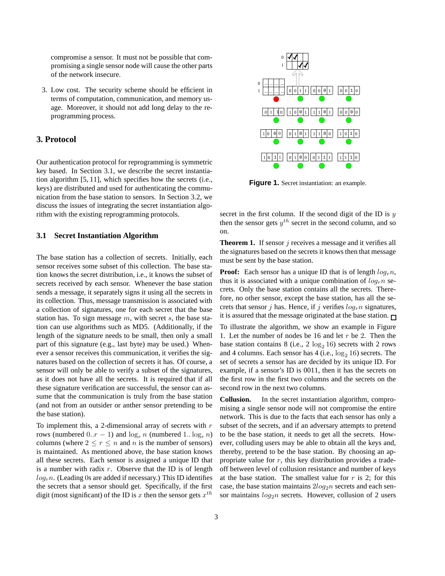compromise a sensor. It must not be possible that compromising a single sensor node will cause the other parts of the network insecure.

3. Low cost. The security scheme should be efficient in terms of computation, communication, and memory usage. Moreover, it should not add long delay to the reprogramming process.

### **3. Protocol**

Our authentication protocol for reprogramming is symmetric key based. In Section 3.1, we describe the secret instantiation algorithm [5, 11], which specifies how the secrets (i.e., keys) are distributed and used for authenticating the communication from the base station to sensors. In Section 3.2, we discuss the issues of integrating the secret instantiation algorithm with the existing reprogramming protocols.

#### **3.1 Secret Instantiation Algorithm**

The base station has a collection of secrets. Initially, each sensor receives some subset of this collection. The base station knows the secret distribution, i.e., it knows the subset of secrets received by each sensor. Whenever the base station sends a message, it separately signs it using all the secrets in its collection. Thus, message transmission is associated with a collection of signatures, one for each secret that the base station has. To sign message  $m$ , with secret  $s$ , the base station can use algorithms such as MD5. (Additionally, if the length of the signature needs to be small, then only a small part of this signature (e.g., last byte) may be used.) Whenever a sensor receives this communication, it verifies the signatures based on the collection of secrets it has. Of course, a sensor will only be able to verify a subset of the signatures, as it does not have all the secrets. It is required that if all these signature verification are successful, the sensor can assume that the communication is truly from the base station (and not from an outsider or anther sensor pretending to be the base station).

To implement this, a 2-dimensional array of secrets with  $r$ rows (numbered  $0.r - 1$ ) and  $\log_r n$  (numbered  $1..\log_r n$ ) columns (where  $2 \le r \le n$  and n is the number of sensors) is maintained. As mentioned above, the base station knows all these secrets. Each sensor is assigned a unique ID that is a number with radix  $r$ . Observe that the ID is of length  $log<sub>r</sub>n$ . (Leading 0s are added if necessary.) This ID identifies the secrets that a sensor should get. Specifically, if the first digit (most significant) of the ID is x then the sensor gets  $x^{th}$ 



**Figure 1.** Secret instantiation: an example.

secret in the first column. If the second digit of the ID is  $y$ then the sensor gets  $y^{th}$  secret in the second column, and so on.

**Theorem 1.** If sensor j receives a message and it verifies all the signatures based on the secrets it knows then that message must be sent by the base station.

**Proof:** Each sensor has a unique ID that is of length  $log_r n$ , thus it is associated with a unique combination of  $log<sub>r</sub> n$  secrets. Only the base station contains all the secrets. Therefore, no other sensor, except the base station, has all the secrets that sensor j has. Hence, if j verifies  $log<sub>r</sub> n$  signatures, it is assured that the message originated at the base station.  $\Box$ 

To illustrate the algorithm, we show an example in Figure 1. Let the number of nodes be 16 and let r be 2. Then the base station contains 8 (i.e.,  $2 \log_2 16$ ) secrets with 2 rows and 4 columns. Each sensor has  $4$  (i.e.,  $\log_2 16$ ) secrets. The set of secrets a sensor has are decided by its unique ID. For example, if a sensor's ID is 0011, then it has the secrets on the first row in the first two columns and the secrets on the second row in the next two columns.

**Collusion.** In the secret instantiation algorithm, compromising a single sensor node will not compromise the entire network. This is due to the facts that each sensor has only a subset of the secrets, and if an adversary attempts to pretend to be the base station, it needs to get all the secrets. However, colluding users may be able to obtain all the keys and, thereby, pretend to be the base station. By choosing an appropriate value for  $r$ , this key distribution provides a tradeoff between level of collusion resistance and number of keys at the base station. The smallest value for  $r$  is 2; for this case, the base station maintains  $2log_2 n$  secrets and each sensor maintains  $log_2 n$  secrets. However, collusion of 2 users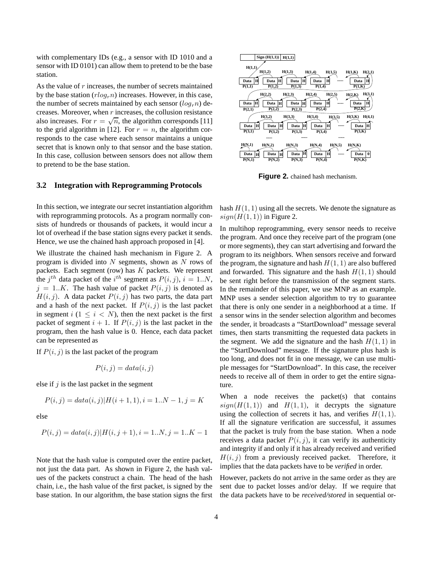with complementary IDs (e.g., a sensor with ID 1010 and a sensor with ID 0101) can allow them to pretend to be the base station.

As the value of r increases, the number of secrets maintained by the base station  $(rlo_{gr}n)$  increases. However, in this case, the number of secrets maintained by each sensor  $(log<sub>r</sub> n)$  decreases. Moreover, when  $r$  increases, the collusion resistance also increases. For  $r = \sqrt{n}$ , the algorithm corresponds [11] to the grid algorithm in [12]. For  $r = n$ , the algorithm corresponds to the case where each sensor maintains a unique secret that is known only to that sensor and the base station. In this case, collusion between sensors does not allow them to pretend to be the base station.

#### **3.2 Integration with Reprogramming Protocols**

In this section, we integrate our secret instantiation algorithm with reprogramming protocols. As a program normally consists of hundreds or thousands of packets, it would incur a lot of overhead if the base station signs every packet it sends. Hence, we use the chained hash approach proposed in [4].

We illustrate the chained hash mechanism in Figure 2. A program is divided into  $N$  segments, shown as  $N$  rows of packets. Each segment (row) has  $K$  packets. We represent the  $j^{th}$  data packet of the  $i^{th}$  segment as  $P(i, j)$ ,  $i = 1..N$ ,  $j = 1..K$ . The hash value of packet  $P(i, j)$  is denoted as  $H(i, j)$ . A data packet  $P(i, j)$  has two parts, the data part and a hash of the next packet. If  $P(i, j)$  is the last packet in segment  $i$  ( $1 \leq i \leq N$ ), then the next packet is the first packet of segment  $i + 1$ . If  $P(i, j)$  is the last packet in the program, then the hash value is 0. Hence, each data packet can be represented as

If  $P(i, j)$  is the last packet of the program

$$
P(i,j) = data(i,j)
$$

else if  $j$  is the last packet in the segment

$$
P(i, j) = data(i, j)|H(i + 1, 1), i = 1..N - 1, j = K
$$

else

$$
P(i,j) = data(i,j)|H(i,j+1), i = 1..N, j = 1..K - 1
$$

Note that the hash value is computed over the entire packet, not just the data part. As shown in Figure 2, the hash values of the packets construct a chain. The head of the hash chain, i.e., the hash value of the first packet, is signed by the base station. In our algorithm, the base station signs the first



**Figure 2.** chained hash mechanism.

hash  $H(1, 1)$  using all the secrets. We denote the signature as  $sign(H(1, 1))$  in Figure 2.

In multihop reprogramming, every sensor needs to receive the program. And once they receive part of the program (one or more segments), they can start advertising and forward the program to its neighbors. When sensors receive and forward the program, the signature and hash  $H(1, 1)$  are also buffered and forwarded. This signature and the hash  $H(1, 1)$  should be sent right before the transmission of the segment starts. In the remainder of this paper, we use MNP as an example. MNP uses a sender selection algorithm to try to guarantee that there is only one sender in a neighborhood at a time. If a sensor wins in the sender selection algorithm and becomes the sender, it broadcasts a "StartDownload" message several times, then starts transmitting the requested data packets in the segment. We add the signature and the hash  $H(1, 1)$  in the "StartDownload" message. If the signature plus hash is too long, and does not fit in one message, we can use multiple messages for "StartDownload". In this case, the receiver needs to receive all of them in order to get the entire signature.

When a node receives the packet(s) that contains  $sign(H(1, 1))$  and  $H(1, 1)$ , it decrypts the signature using the collection of secrets it has, and verifies  $H(1, 1)$ . If all the signature verification are successful, it assumes that the packet is truly from the base station. When a node receives a data packet  $P(i, j)$ , it can verify its authenticity and integrity if and only if it has already received and verified  $H(i, j)$  from a previously received packet. Therefore, it implies that the data packets have to be *verified* in order.

However, packets do not arrive in the same order as they are sent due to packet losses and/or delay. If we require that the data packets have to be *received/stored* in sequential or-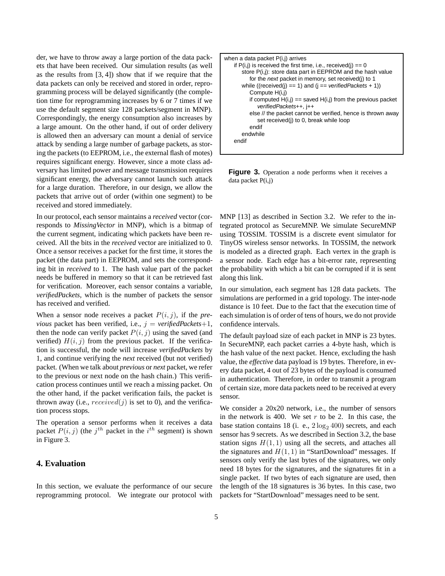der, we have to throw away a large portion of the data packets that have been received. Our simulation results (as well as the results from [3, 4]) show that if we require that the data packets can only be received and stored in order, reprogramming process will be delayed significantly (the completion time for reprogramming increases by 6 or 7 times if we use the default segment size 128 packets/segment in MNP). Correspondingly, the energy consumption also increases by a large amount. On the other hand, if out of order delivery is allowed then an adversary can mount a denial of service attack by sending a large number of garbage packets, as storing the packets (to EEPROM, i.e., the external flash of motes) requires significant energy. However, since a mote class adversary has limited power and message transmission requires significant energy, the adversary cannot launch such attack for a large duration. Therefore, in our design, we allow the packets that arrive out of order (within one segment) to be received and stored immediately.

In our protocol, each sensor maintains a *received* vector (corresponds to *MissingVector* in MNP), which is a bitmap of the current segment, indicating which packets have been received. All the bits in the *received* vector are initialized to 0. Once a sensor receives a packet for the first time, it stores the packet (the data part) in EEPROM, and sets the corresponding bit in *received* to 1. The hash value part of the packet needs be buffered in memory so that it can be retrieved fast for verification. Moreover, each sensor contains a variable, *verifiedPackets*, which is the number of packets the sensor has received and verified.

When a sensor node receives a packet  $P(i, j)$ , if the *previous* packet has been verified, i.e.,  $j = verifiedPackets+1$ , then the node can verify packet  $P(i, j)$  using the saved (and verified)  $H(i, j)$  from the previous packet. If the verification is successful, the node will increase *verifiedPackets* by 1, and continue verifying the *next* received (but not verified) packet. (When we talk about *previous* or *next* packet, we refer to the previous or next node on the hash chain.) This verification process continues until we reach a missing packet. On the other hand, if the packet verification fails, the packet is thrown away (i.e.,  $received(j)$  is set to 0), and the verification process stops.

The operation a sensor performs when it receives a data packet  $P(i, j)$  (the  $j<sup>th</sup>$  packet in the  $i<sup>th</sup>$  segment) is shown in Figure 3.

# **4. Evaluation**

In this section, we evaluate the performance of our secure reprogramming protocol. We integrate our protocol with



**Figure 3.** Operation a node performs when it receives a data packet P(i,j)

MNP [13] as described in Section 3.2. We refer to the integrated protocol as SecureMNP. We simulate SecureMNP using TOSSIM. TOSSIM is a discrete event simulator for TinyOS wireless sensor networks. In TOSSIM, the network is modeled as a directed graph. Each vertex in the graph is a sensor node. Each edge has a bit-error rate, representing the probability with which a bit can be corrupted if it is sent along this link.

In our simulation, each segment has 128 data packets. The simulations are performed in a grid topology. The inter-node distance is 10 feet. Due to the fact that the execution time of each simulation is of order of tens of hours, we do not provide confidence intervals.

The default payload size of each packet in MNP is 23 bytes. In SecureMNP, each packet carries a 4-byte hash, which is the hash value of the next packet. Hence, excluding the hash value, the *effective* data payload is 19 bytes. Therefore, in every data packet, 4 out of 23 bytes of the payload is consumed in authentication. Therefore, in order to transmit a program of certain size, more data packets need to be received at every sensor.

We consider a 20x20 network, i.e., the number of sensors in the network is 400. We set  $r$  to be 2. In this case, the base station contains 18 (i. e.,  $2 \log_2 400$ ) secrets, and each sensor has 9 secrets. As we described in Section 3.2, the base station signs  $H(1, 1)$  using all the secrets, and attaches all the signatures and  $H(1, 1)$  in "StartDownload" messages. If sensors only verify the last bytes of the signatures, we only need 18 bytes for the signatures, and the signatures fit in a single packet. If two bytes of each signature are used, then the length of the 18 signatures is 36 bytes. In this case, two packets for "StartDownload" messages need to be sent.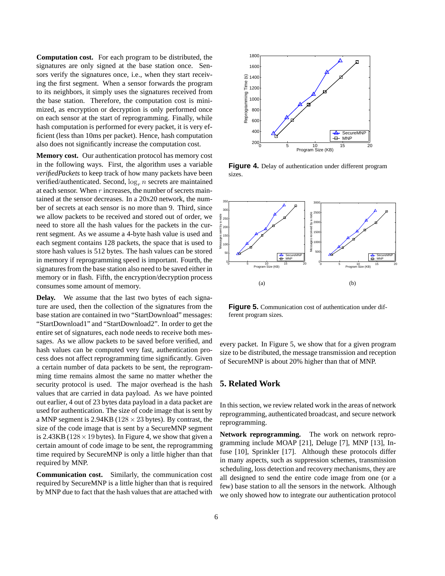**Computation cost.** For each program to be distributed, the signatures are only signed at the base station once. Sensors verify the signatures once, i.e., when they start receiving the first segment. When a sensor forwards the program to its neighbors, it simply uses the signatures received from the base station. Therefore, the computation cost is minimized, as encryption or decryption is only performed once on each sensor at the start of reprogramming. Finally, while hash computation is performed for every packet, it is very efficient (less than 10ms per packet). Hence, hash computation also does not significantly increase the computation cost.

**Memory cost.** Our authentication protocol has memory cost in the following ways. First, the algorithm uses a variable *verifiedPackets* to keep track of how many packets have been verified/authenticated. Second,  $\log_e n$  secrets are maintained at each sensor. When  $r$  increases, the number of secrets maintained at the sensor decreases. In a 20x20 network, the number of secrets at each sensor is no more than 9. Third, since we allow packets to be received and stored out of order, we need to store all the hash values for the packets in the current segment. As we assume a 4-byte hash value is used and each segment contains 128 packets, the space that is used to store hash values is 512 bytes. The hash values can be stored in memory if reprogramming speed is important. Fourth, the signatures from the base station also need to be saved either in memory or in flash. Fifth, the encryption/decryption process consumes some amount of memory.

**Delay.** We assume that the last two bytes of each signature are used, then the collection of the signatures from the base station are contained in two "StartDownload" messages: "StartDownload1" and "StartDownload2". In order to get the entire set of signatures, each node needs to receive both messages. As we allow packets to be saved before verified, and hash values can be computed very fast, authentication process does not affect reprogramming time significantly. Given a certain number of data packets to be sent, the reprogramming time remains almost the same no matter whether the security protocol is used. The major overhead is the hash values that are carried in data payload. As we have pointed out earlier, 4 out of 23 bytes data payload in a data packet are used for authentication. The size of code image that is sent by a MNP segment is  $2.94KB$  ( $128 \times 23$  bytes). By contrast, the size of the code image that is sent by a SecureMNP segment is 2.43KB ( $128 \times 19$  bytes). In Figure 4, we show that given a certain amount of code image to be sent, the reprogramming time required by SecureMNP is only a little higher than that required by MNP.

**Communication cost.** Similarly, the communication cost required by SecureMNP is a little higher than that is required by MNP due to fact that the hash values that are attached with



**Figure 4.** Delay of authentication under different program sizes.



**Figure 5.** Communication cost of authentication under different program sizes.

every packet. In Figure 5, we show that for a given program size to be distributed, the message transmission and reception of SecureMNP is about 20% higher than that of MNP.

# **5. Related Work**

In this section, we review related work in the areas of network reprogramming, authenticated broadcast, and secure network reprogramming.

**Network reprogramming.** The work on network reprogramming include MOAP [21], Deluge [7], MNP [13], Infuse [10], Sprinkler [17]. Although these protocols differ in many aspects, such as suppression schemes, transmission scheduling, loss detection and recovery mechanisms, they are all designed to send the entire code image from one (or a few) base station to all the sensors in the network. Although we only showed how to integrate our authentication protocol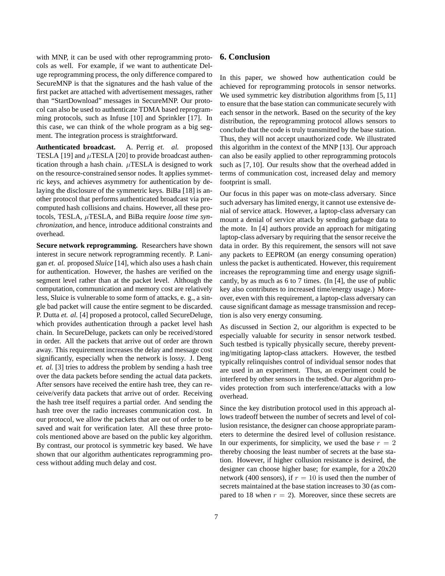with MNP, it can be used with other reprogramming protocols as well. For example, if we want to authenticate Deluge reprogramming process, the only difference compared to SecureMNP is that the signatures and the hash value of the first packet are attached with advertisement messages, rather than "StartDownload" messages in SecureMNP. Our protocol can also be used to authenticate TDMA based reprogramming protocols, such as Infuse [10] and Sprinkler [17]. In this case, we can think of the whole program as a big segment. The integration process is straightforward.

**Authenticated broadcast.** A. Perrig *et. al.* proposed TESLA [19] and  $\mu$ TESLA [20] to provide broadcast authentication through a hash chain.  $\mu$ TESLA is designed to work on the resource-constrained sensor nodes. It applies symmetric keys, and achieves asymmetry for authentication by delaying the disclosure of the symmetric keys. BiBa [18] is another protocol that performs authenticated broadcast via precomputed hash collisions and chains. However, all these protocols, TESLA, µTESLA, and BiBa require *loose time synchronization*, and hence, introduce additional constraints and overhead.

**Secure network reprogramming.** Researchers have shown interest in secure network reprogramming recently. P. Lanigan *et. al.* proposed *Sluice* [14], which also uses a hash chain for authentication. However, the hashes are verified on the segment level rather than at the packet level. Although the computation, communication and memory cost are relatively less, Sluice is vulnerable to some form of attacks, e. g., a single bad packet will cause the entire segment to be discarded. P. Dutta *et. al.* [4] proposed a protocol, called SecureDeluge, which provides authentication through a packet level hash chain. In SecureDeluge, packets can only be received/stored in order. All the packets that arrive out of order are thrown away. This requirement increases the delay and message cost significantly, especially when the network is lossy. J. Deng *et. al.* [3] tries to address the problem by sending a hash tree over the data packets before sending the actual data packets. After sensors have received the entire hash tree, they can receive/verify data packets that arrive out of order. Receiving the hash tree itself requires a partial order. And sending the hash tree over the radio increases communication cost. In our protocol, we allow the packets that are out of order to be saved and wait for verification later. All these three protocols mentioned above are based on the public key algorithm. By contrast, our protocol is symmetric key based. We have shown that our algorithm authenticates reprogramming process without adding much delay and cost.

#### **6. Conclusion**

In this paper, we showed how authentication could be achieved for reprogramming protocols in sensor networks. We used symmetric key distribution algorithms from [5, 11] to ensure that the base station can communicate securely with each sensor in the network. Based on the security of the key distribution, the reprogramming protocol allows sensors to conclude that the code is truly transmitted by the base station. Thus, they will not accept unauthorized code. We illustrated this algorithm in the context of the MNP [13]. Our approach can also be easily applied to other reprogramming protocols such as [7, 10]. Our results show that the overhead added in terms of communication cost, increased delay and memory footprint is small.

Our focus in this paper was on mote-class adversary. Since such adversary has limited energy, it cannot use extensive denial of service attack. However, a laptop-class adversary can mount a denial of service attack by sending garbage data to the mote. In [4] authors provide an approach for mitigating laptop-class adversary by requiring that the sensor receive the data in order. By this requirement, the sensors will not save any packets to EEPROM (an energy consuming operation) unless the packet is authenticated. However, this requirement increases the reprogramming time and energy usage significantly, by as much as 6 to 7 times. (In [4], the use of public key also contributes to increased time/energy usage.) Moreover, even with this requirement, a laptop-class adversary can cause significant damage as message transmission and reception is also very energy consuming.

As discussed in Section 2, our algorithm is expected to be especially valuable for security in sensor network testbed. Such testbed is typically physically secure, thereby preventing/mitigating laptop-class attackers. However, the testbed typically relinquishes control of individual sensor nodes that are used in an experiment. Thus, an experiment could be interfered by other sensors in the testbed. Our algorithm provides protection from such interference/attacks with a low overhead.

Since the key distribution protocol used in this approach allows tradeoff between the number of secrets and level of collusion resistance, the designer can choose appropriate parameters to determine the desired level of collusion resistance. In our experiments, for simplicity, we used the base  $r = 2$ thereby choosing the least number of secrets at the base station. However, if higher collusion resistance is desired, the designer can choose higher base; for example, for a 20x20 network (400 sensors), if  $r = 10$  is used then the number of secrets maintained at the base station increases to 30 (as compared to 18 when  $r = 2$ ). Moreover, since these secrets are